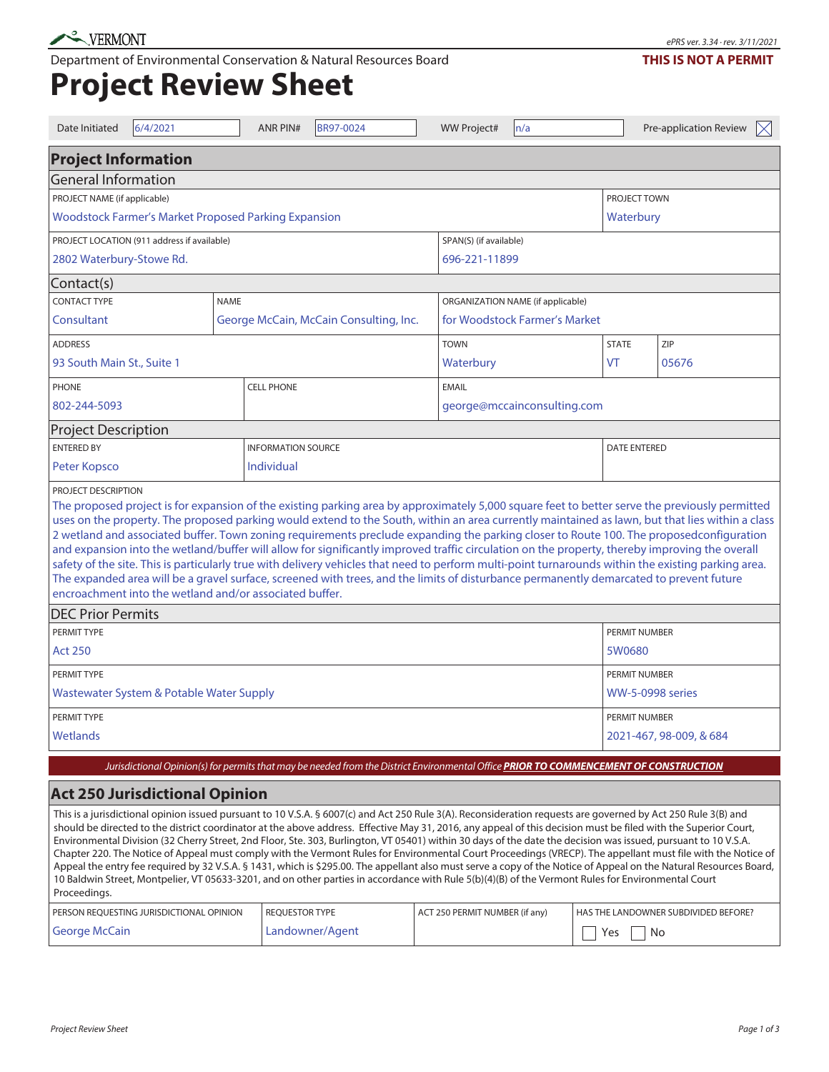Department of Environmental Conservation & Natural Resources Board

## **Project Review Sheet**

| Date Initiated                                                                                                                                                                                                                                                                                                                                                                                                                                                                                                                                                                                                                                                                                                                                                                                                                                                                                                                                                                                                 | 6/4/2021                               |                           | <b>ANR PIN#</b>   | <b>BR97-0024</b>                  |                               | <b>WW Project#</b> | n/a                                                                                                                                   |     | Pre-application Review<br>$\boxtimes$ |
|----------------------------------------------------------------------------------------------------------------------------------------------------------------------------------------------------------------------------------------------------------------------------------------------------------------------------------------------------------------------------------------------------------------------------------------------------------------------------------------------------------------------------------------------------------------------------------------------------------------------------------------------------------------------------------------------------------------------------------------------------------------------------------------------------------------------------------------------------------------------------------------------------------------------------------------------------------------------------------------------------------------|----------------------------------------|---------------------------|-------------------|-----------------------------------|-------------------------------|--------------------|---------------------------------------------------------------------------------------------------------------------------------------|-----|---------------------------------------|
| <b>Project Information</b>                                                                                                                                                                                                                                                                                                                                                                                                                                                                                                                                                                                                                                                                                                                                                                                                                                                                                                                                                                                     |                                        |                           |                   |                                   |                               |                    |                                                                                                                                       |     |                                       |
| <b>General Information</b>                                                                                                                                                                                                                                                                                                                                                                                                                                                                                                                                                                                                                                                                                                                                                                                                                                                                                                                                                                                     |                                        |                           |                   |                                   |                               |                    |                                                                                                                                       |     |                                       |
| PROJECT NAME (if applicable)                                                                                                                                                                                                                                                                                                                                                                                                                                                                                                                                                                                                                                                                                                                                                                                                                                                                                                                                                                                   |                                        |                           |                   |                                   | PROJECT TOWN                  |                    |                                                                                                                                       |     |                                       |
| <b>Woodstock Farmer's Market Proposed Parking Expansion</b>                                                                                                                                                                                                                                                                                                                                                                                                                                                                                                                                                                                                                                                                                                                                                                                                                                                                                                                                                    |                                        |                           |                   | Waterbury                         |                               |                    |                                                                                                                                       |     |                                       |
| PROJECT LOCATION (911 address if available)                                                                                                                                                                                                                                                                                                                                                                                                                                                                                                                                                                                                                                                                                                                                                                                                                                                                                                                                                                    |                                        |                           |                   | SPAN(S) (if available)            |                               |                    |                                                                                                                                       |     |                                       |
| 2802 Waterbury-Stowe Rd.                                                                                                                                                                                                                                                                                                                                                                                                                                                                                                                                                                                                                                                                                                                                                                                                                                                                                                                                                                                       |                                        |                           |                   | 696-221-11899                     |                               |                    |                                                                                                                                       |     |                                       |
| Contact(s)                                                                                                                                                                                                                                                                                                                                                                                                                                                                                                                                                                                                                                                                                                                                                                                                                                                                                                                                                                                                     |                                        |                           |                   |                                   |                               |                    |                                                                                                                                       |     |                                       |
| <b>CONTACT TYPE</b><br><b>NAME</b>                                                                                                                                                                                                                                                                                                                                                                                                                                                                                                                                                                                                                                                                                                                                                                                                                                                                                                                                                                             |                                        |                           |                   | ORGANIZATION NAME (if applicable) |                               |                    |                                                                                                                                       |     |                                       |
| Consultant                                                                                                                                                                                                                                                                                                                                                                                                                                                                                                                                                                                                                                                                                                                                                                                                                                                                                                                                                                                                     | George McCain, McCain Consulting, Inc. |                           |                   |                                   | for Woodstock Farmer's Market |                    |                                                                                                                                       |     |                                       |
| <b>ADDRESS</b>                                                                                                                                                                                                                                                                                                                                                                                                                                                                                                                                                                                                                                                                                                                                                                                                                                                                                                                                                                                                 |                                        |                           |                   |                                   | <b>TOWN</b>                   |                    | <b>STATE</b>                                                                                                                          | ZIP |                                       |
| 93 South Main St., Suite 1                                                                                                                                                                                                                                                                                                                                                                                                                                                                                                                                                                                                                                                                                                                                                                                                                                                                                                                                                                                     |                                        |                           |                   |                                   |                               | Waterbury          |                                                                                                                                       | VT  | 05676                                 |
| <b>PHONE</b>                                                                                                                                                                                                                                                                                                                                                                                                                                                                                                                                                                                                                                                                                                                                                                                                                                                                                                                                                                                                   |                                        |                           | <b>CELL PHONE</b> |                                   |                               | <b>EMAIL</b>       |                                                                                                                                       |     |                                       |
| 802-244-5093                                                                                                                                                                                                                                                                                                                                                                                                                                                                                                                                                                                                                                                                                                                                                                                                                                                                                                                                                                                                   |                                        |                           |                   | george@mccainconsulting.com       |                               |                    |                                                                                                                                       |     |                                       |
| <b>Project Description</b>                                                                                                                                                                                                                                                                                                                                                                                                                                                                                                                                                                                                                                                                                                                                                                                                                                                                                                                                                                                     |                                        |                           |                   |                                   |                               |                    |                                                                                                                                       |     |                                       |
| <b>ENTERED BY</b>                                                                                                                                                                                                                                                                                                                                                                                                                                                                                                                                                                                                                                                                                                                                                                                                                                                                                                                                                                                              |                                        | <b>INFORMATION SOURCE</b> |                   |                                   | <b>DATE ENTERED</b>           |                    |                                                                                                                                       |     |                                       |
| Peter Kopsco                                                                                                                                                                                                                                                                                                                                                                                                                                                                                                                                                                                                                                                                                                                                                                                                                                                                                                                                                                                                   |                                        | <b>Individual</b>         |                   |                                   |                               |                    |                                                                                                                                       |     |                                       |
| PROJECT DESCRIPTION<br>The proposed project is for expansion of the existing parking area by approximately 5,000 square feet to better serve the previously permitted<br>uses on the property. The proposed parking would extend to the South, within an area currently maintained as lawn, but that lies within a class<br>2 wetland and associated buffer. Town zoning requirements preclude expanding the parking closer to Route 100. The proposedconfiguration<br>and expansion into the wetland/buffer will allow for significantly improved traffic circulation on the property, thereby improving the overall<br>safety of the site. This is particularly true with delivery vehicles that need to perform multi-point turnarounds within the existing parking area.<br>The expanded area will be a gravel surface, screened with trees, and the limits of disturbance permanently demarcated to prevent future<br>encroachment into the wetland and/or associated buffer.                             |                                        |                           |                   |                                   |                               |                    |                                                                                                                                       |     |                                       |
| <b>DEC Prior Permits</b>                                                                                                                                                                                                                                                                                                                                                                                                                                                                                                                                                                                                                                                                                                                                                                                                                                                                                                                                                                                       |                                        |                           |                   |                                   |                               |                    |                                                                                                                                       |     |                                       |
| PERMIT TYPE                                                                                                                                                                                                                                                                                                                                                                                                                                                                                                                                                                                                                                                                                                                                                                                                                                                                                                                                                                                                    |                                        |                           |                   |                                   | PERMIT NUMBER                 |                    |                                                                                                                                       |     |                                       |
| <b>Act 250</b>                                                                                                                                                                                                                                                                                                                                                                                                                                                                                                                                                                                                                                                                                                                                                                                                                                                                                                                                                                                                 |                                        |                           |                   |                                   |                               |                    | 5W0680                                                                                                                                |     |                                       |
| PERMIT TYPE                                                                                                                                                                                                                                                                                                                                                                                                                                                                                                                                                                                                                                                                                                                                                                                                                                                                                                                                                                                                    |                                        |                           |                   | PERMIT NUMBER                     |                               |                    |                                                                                                                                       |     |                                       |
| Wastewater System & Potable Water Supply                                                                                                                                                                                                                                                                                                                                                                                                                                                                                                                                                                                                                                                                                                                                                                                                                                                                                                                                                                       |                                        |                           |                   | <b>WW-5-0998 series</b>           |                               |                    |                                                                                                                                       |     |                                       |
| PERMIT TYPE                                                                                                                                                                                                                                                                                                                                                                                                                                                                                                                                                                                                                                                                                                                                                                                                                                                                                                                                                                                                    |                                        |                           |                   |                                   |                               | PERMIT NUMBER      |                                                                                                                                       |     |                                       |
| Wetlands                                                                                                                                                                                                                                                                                                                                                                                                                                                                                                                                                                                                                                                                                                                                                                                                                                                                                                                                                                                                       |                                        |                           |                   |                                   |                               |                    | 2021-467, 98-009, & 684                                                                                                               |     |                                       |
|                                                                                                                                                                                                                                                                                                                                                                                                                                                                                                                                                                                                                                                                                                                                                                                                                                                                                                                                                                                                                |                                        |                           |                   |                                   |                               |                    | Jurisdictional Opinion(s) for permits that may be needed from the District Environmental Office PRIOR TO COMMENCEMENT OF CONSTRUCTION |     |                                       |
|                                                                                                                                                                                                                                                                                                                                                                                                                                                                                                                                                                                                                                                                                                                                                                                                                                                                                                                                                                                                                | <b>Act 250 Jurisdictional Opinion</b>  |                           |                   |                                   |                               |                    |                                                                                                                                       |     |                                       |
| This is a jurisdictional opinion issued pursuant to 10 V.S.A. § 6007(c) and Act 250 Rule 3(A). Reconsideration requests are governed by Act 250 Rule 3(B) and<br>should be directed to the district coordinator at the above address. Effective May 31, 2016, any appeal of this decision must be filed with the Superior Court,<br>Environmental Division (32 Cherry Street, 2nd Floor, Ste. 303, Burlington, VT 05401) within 30 days of the date the decision was issued, pursuant to 10 V.S.A.<br>Chapter 220. The Notice of Appeal must comply with the Vermont Rules for Environmental Court Proceedings (VRECP). The appellant must file with the Notice of<br>Appeal the entry fee required by 32 V.S.A. § 1431, which is \$295.00. The appellant also must serve a copy of the Notice of Appeal on the Natural Resources Board,<br>10 Baldwin Street, Montpelier, VT 05633-3201, and on other parties in accordance with Rule 5(b)(4)(B) of the Vermont Rules for Environmental Court<br>Proceedings. |                                        |                           |                   |                                   |                               |                    |                                                                                                                                       |     |                                       |

| I PERSON REOUESTING JURISDICTIONAL OPINION | <b>I REOUESTOR TYPE</b> | ACT 250 PERMIT NUMBER (if any) | HAS THE LANDOWNER SUBDIVIDED BEFORE? |
|--------------------------------------------|-------------------------|--------------------------------|--------------------------------------|
| George McCain                              | Landowner/Agent         |                                | No                                   |

## **THIS IS NOT A PERMIT**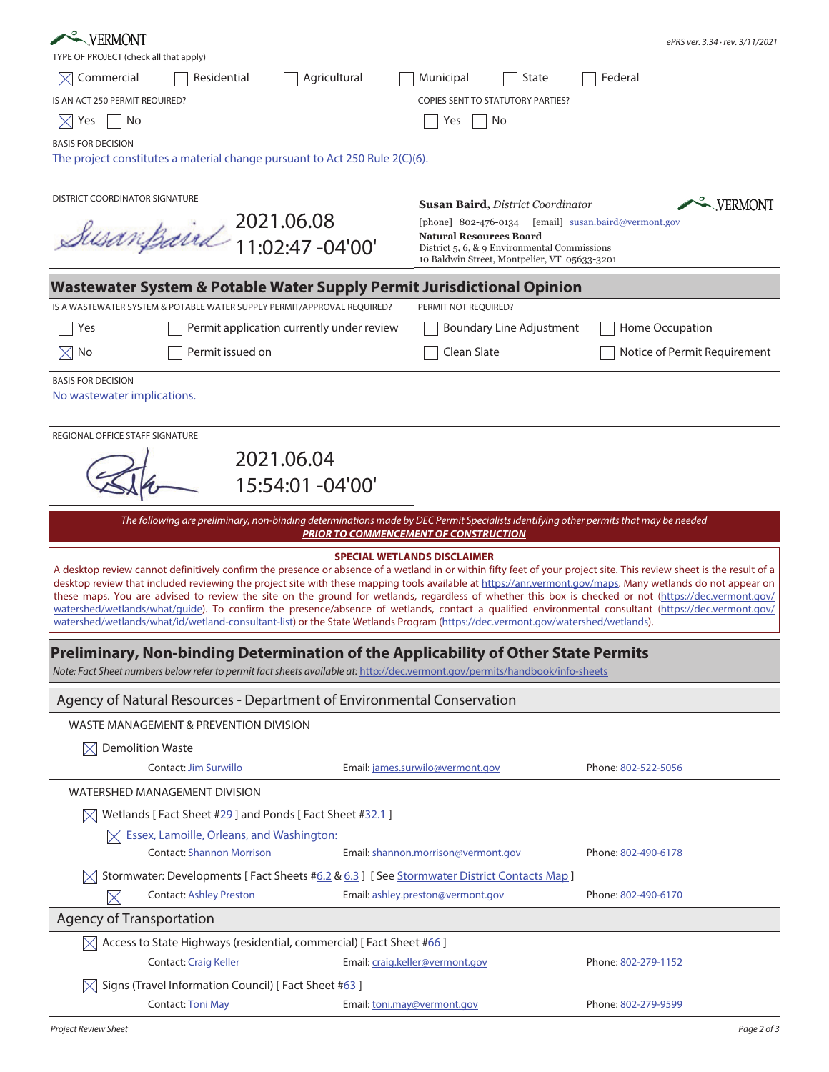|                                        |                                                                                                                                                                                                                                                                                                                     |                                                                                              | ePRS ver. 3.34 · rev. 3/11/2021 |  |
|----------------------------------------|---------------------------------------------------------------------------------------------------------------------------------------------------------------------------------------------------------------------------------------------------------------------------------------------------------------------|----------------------------------------------------------------------------------------------|---------------------------------|--|
| TYPE OF PROJECT (check all that apply) |                                                                                                                                                                                                                                                                                                                     |                                                                                              |                                 |  |
| Commercial<br>$\bowtie$                | Agricultural<br>Residential                                                                                                                                                                                                                                                                                         | Municipal<br>State                                                                           | Federal                         |  |
| IS AN ACT 250 PERMIT REQUIRED?         |                                                                                                                                                                                                                                                                                                                     | <b>COPIES SENT TO STATUTORY PARTIES?</b>                                                     |                                 |  |
| $\boxtimes$ Yes<br>No                  |                                                                                                                                                                                                                                                                                                                     | No<br>Yes                                                                                    |                                 |  |
| <b>BASIS FOR DECISION</b>              |                                                                                                                                                                                                                                                                                                                     |                                                                                              |                                 |  |
|                                        | The project constitutes a material change pursuant to Act 250 Rule 2(C)(6).                                                                                                                                                                                                                                         |                                                                                              |                                 |  |
|                                        |                                                                                                                                                                                                                                                                                                                     |                                                                                              |                                 |  |
| <b>DISTRICT COORDINATOR SIGNATURE</b>  |                                                                                                                                                                                                                                                                                                                     | Susan Baird, District Coordinator                                                            | VERMONT                         |  |
|                                        | Susanfaird 2021.06.08                                                                                                                                                                                                                                                                                               | [email] susan.baird@vermont.gov<br>[phone] 802-476-0134<br><b>Natural Resources Board</b>    |                                 |  |
|                                        |                                                                                                                                                                                                                                                                                                                     | District 5, 6, & 9 Environmental Commissions<br>10 Baldwin Street, Montpelier, VT 05633-3201 |                                 |  |
|                                        |                                                                                                                                                                                                                                                                                                                     |                                                                                              |                                 |  |
|                                        | <b>Wastewater System &amp; Potable Water Supply Permit Jurisdictional Opinion</b>                                                                                                                                                                                                                                   |                                                                                              |                                 |  |
|                                        | IS A WASTEWATER SYSTEM & POTABLE WATER SUPPLY PERMIT/APPROVAL REQUIRED?                                                                                                                                                                                                                                             | PERMIT NOT REQUIRED?                                                                         |                                 |  |
| Yes                                    | Permit application currently under review                                                                                                                                                                                                                                                                           | <b>Boundary Line Adjustment</b>                                                              | Home Occupation                 |  |
| No<br>$\times$                         | Permit issued on                                                                                                                                                                                                                                                                                                    | Clean Slate                                                                                  | Notice of Permit Requirement    |  |
| <b>BASIS FOR DECISION</b>              |                                                                                                                                                                                                                                                                                                                     |                                                                                              |                                 |  |
| No wastewater implications.            |                                                                                                                                                                                                                                                                                                                     |                                                                                              |                                 |  |
|                                        |                                                                                                                                                                                                                                                                                                                     |                                                                                              |                                 |  |
| REGIONAL OFFICE STAFF SIGNATURE        |                                                                                                                                                                                                                                                                                                                     |                                                                                              |                                 |  |
|                                        | 2021.06.04                                                                                                                                                                                                                                                                                                          |                                                                                              |                                 |  |
|                                        | 15:54:01 -04'00'                                                                                                                                                                                                                                                                                                    |                                                                                              |                                 |  |
|                                        |                                                                                                                                                                                                                                                                                                                     |                                                                                              |                                 |  |
|                                        | The following are preliminary, non-binding determinations made by DEC Permit Specialists identifying other permits that may be needed                                                                                                                                                                               | <b>PRIOR TO COMMENCEMENT OF CONSTRUCTION</b>                                                 |                                 |  |
|                                        |                                                                                                                                                                                                                                                                                                                     | <b>SPECIAL WETLANDS DISCLAIMER</b>                                                           |                                 |  |
|                                        | A desktop review cannot definitively confirm the presence or absence of a wetland in or within fifty feet of your project site. This review sheet is the result of a                                                                                                                                                |                                                                                              |                                 |  |
|                                        | desktop review that included reviewing the project site with these mapping tools available at https://anr.vermont.gov/maps. Many wetlands do not appear on<br>these maps. You are advised to review the site on the ground for wetlands, regardless of whether this box is checked or not (https://dec.vermont.gov/ |                                                                                              |                                 |  |
|                                        | watershed/wetlands/what/guide). To confirm the presence/absence of wetlands, contact a qualified environmental consultant (https://dec.vermont.gov/<br>watershed/wetlands/what/id/wetland-consultant-list) or the State Wetlands Program (https://dec.vermont.gov/watershed/wetlands).                              |                                                                                              |                                 |  |
|                                        |                                                                                                                                                                                                                                                                                                                     |                                                                                              |                                 |  |
|                                        | Preliminary, Non-binding Determination of the Applicability of Other State Permits                                                                                                                                                                                                                                  |                                                                                              |                                 |  |
|                                        | Note: Fact Sheet numbers below refer to permit fact sheets available at: http://dec.vermont.gov/permits/handbook/info-sheets                                                                                                                                                                                        |                                                                                              |                                 |  |
|                                        | Agency of Natural Resources - Department of Environmental Conservation                                                                                                                                                                                                                                              |                                                                                              |                                 |  |
|                                        | WASTE MANAGEMENT & PREVENTION DIVISION                                                                                                                                                                                                                                                                              |                                                                                              |                                 |  |
|                                        |                                                                                                                                                                                                                                                                                                                     |                                                                                              |                                 |  |
|                                        |                                                                                                                                                                                                                                                                                                                     |                                                                                              |                                 |  |
| <b>Demolition Waste</b><br>⋉           | Contact: Jim Surwillo                                                                                                                                                                                                                                                                                               | Email: james.surwilo@vermont.gov                                                             | Phone: 802-522-5056             |  |
|                                        |                                                                                                                                                                                                                                                                                                                     |                                                                                              |                                 |  |
| <b>WATERSHED MANAGEMENT DIVISION</b>   |                                                                                                                                                                                                                                                                                                                     |                                                                                              |                                 |  |
|                                        | Wetlands [ Fact Sheet #29 ] and Ponds [ Fact Sheet #32.1 ]                                                                                                                                                                                                                                                          |                                                                                              |                                 |  |
| $\boxtimes$                            | Essex, Lamoille, Orleans, and Washington:<br><b>Contact: Shannon Morrison</b>                                                                                                                                                                                                                                       | Email: shannon.morrison@vermont.gov                                                          | Phone: 802-490-6178             |  |
|                                        |                                                                                                                                                                                                                                                                                                                     |                                                                                              |                                 |  |
|                                        | Stormwater: Developments [Fact Sheets #6.2 & 6.3] [See Stormwater District Contacts Map]<br><b>Contact: Ashley Preston</b>                                                                                                                                                                                          | Email: ashley.preston@vermont.gov                                                            | Phone: 802-490-6170             |  |
| $\times$                               |                                                                                                                                                                                                                                                                                                                     |                                                                                              |                                 |  |
| <b>Agency of Transportation</b>        |                                                                                                                                                                                                                                                                                                                     |                                                                                              |                                 |  |
| $\boxtimes$                            | Access to State Highways (residential, commercial) [Fact Sheet #66]                                                                                                                                                                                                                                                 |                                                                                              |                                 |  |
|                                        | <b>Contact: Craig Keller</b>                                                                                                                                                                                                                                                                                        | Email: craig.keller@vermont.gov                                                              | Phone: 802-279-1152             |  |
|                                        | Signs (Travel Information Council) [Fact Sheet #63]<br><b>Contact: Toni May</b>                                                                                                                                                                                                                                     | Email: toni.may@vermont.gov                                                                  | Phone: 802-279-9599             |  |